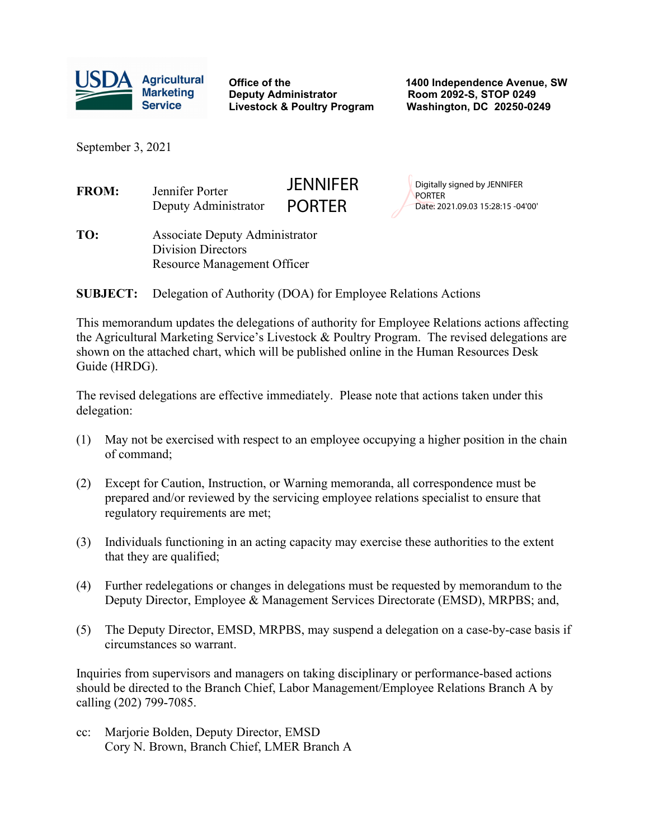

**Deputy Administrator Room 2092-S, STOP 0249 Livestock & Poultry Program** 

**Office of the 1400 Independence Avenue, SW**

September 3, 2021

| <b>FROM:</b>    | Jennifer Porter<br>Deputy Administrator                                                                  | JENNIFER<br><b>PORTER</b> | Digitally signed by JENNIFER<br><b>PORTER</b><br>Date: 2021.09.03 15:28:15 -04'00' |  |  |  |  |  |
|-----------------|----------------------------------------------------------------------------------------------------------|---------------------------|------------------------------------------------------------------------------------|--|--|--|--|--|
| TO:             | <b>Associate Deputy Administrator</b><br><b>Division Directors</b><br><b>Resource Management Officer</b> |                           |                                                                                    |  |  |  |  |  |
| <b>SUBJECT:</b> | Delegation of Authority (DOA) for Employee Relations Actions                                             |                           |                                                                                    |  |  |  |  |  |

This memorandum updates the delegations of authority for Employee Relations actions affecting the Agricultural Marketing Service's Livestock & Poultry Program. The revised delegations are shown on the attached chart, which will be published online in the Human Resources Desk Guide (HRDG).

The revised delegations are effective immediately. Please note that actions taken under this delegation:

- (1) May not be exercised with respect to an employee occupying a higher position in the chain of command;
- (2) Except for Caution, Instruction, or Warning memoranda, all correspondence must be prepared and/or reviewed by the servicing employee relations specialist to ensure that regulatory requirements are met;
- (3) Individuals functioning in an acting capacity may exercise these authorities to the extent that they are qualified;
- (4) Further redelegations or changes in delegations must be requested by memorandum to the Deputy Director, Employee & Management Services Directorate (EMSD), MRPBS; and,
- (5) The Deputy Director, EMSD, MRPBS, may suspend a delegation on a case-by-case basis if circumstances so warrant.

Inquiries from supervisors and managers on taking disciplinary or performance-based actions should be directed to the Branch Chief, Labor Management/Employee Relations Branch A by calling (202) 799-7085.

cc: Marjorie Bolden, Deputy Director, EMSD Cory N. Brown, Branch Chief, LMER Branch A